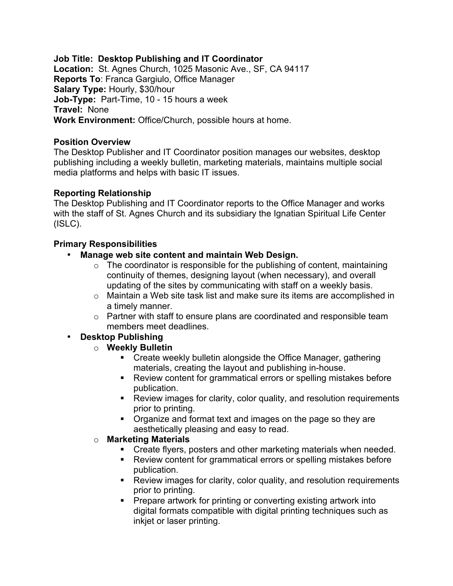**Job Title: Desktop Publishing and IT Coordinator Location:** St. Agnes Church, 1025 Masonic Ave., SF, CA 94117 **Reports To**: Franca Gargiulo, Office Manager **Salary Type:** Hourly, \$30/hour **Job-Type:** Part-Time, 10 - 15 hours a week **Travel:** None **Work Environment:** Office/Church, possible hours at home.

# **Position Overview**

The Desktop Publisher and IT Coordinator position manages our websites, desktop publishing including a weekly bulletin, marketing materials, maintains multiple social media platforms and helps with basic IT issues.

### **Reporting Relationship**

The Desktop Publishing and IT Coordinator reports to the Office Manager and works with the staff of St. Agnes Church and its subsidiary the Ignatian Spiritual Life Center (ISLC).

### **Primary Responsibilities**

- **Manage web site content and maintain Web Design.** 
	- $\circ$  The coordinator is responsible for the publishing of content, maintaining continuity of themes, designing layout (when necessary), and overall updating of the sites by communicating with staff on a weekly basis.
	- o Maintain a Web site task list and make sure its items are accomplished in a timely manner.
	- $\circ$  Partner with staff to ensure plans are coordinated and responsible team members meet deadlines.
- **Desktop Publishing**
	- o **Weekly Bulletin**
		- **EXECT** Create weekly bulletin alongside the Office Manager, gathering materials, creating the layout and publishing in-house.
		- ! Review content for grammatical errors or spelling mistakes before publication.
		- **EXECT** Review images for clarity, color quality, and resolution requirements prior to printing.
		- ! Organize and format text and images on the page so they are aesthetically pleasing and easy to read.

#### o **Marketing Materials**

- ! Create flyers, posters and other marketing materials when needed.
- Review content for grammatical errors or spelling mistakes before publication.
- **EXECT** Review images for clarity, color quality, and resolution requirements prior to printing.
- ! Prepare artwork for printing or converting existing artwork into digital formats compatible with digital printing techniques such as inkjet or laser printing.